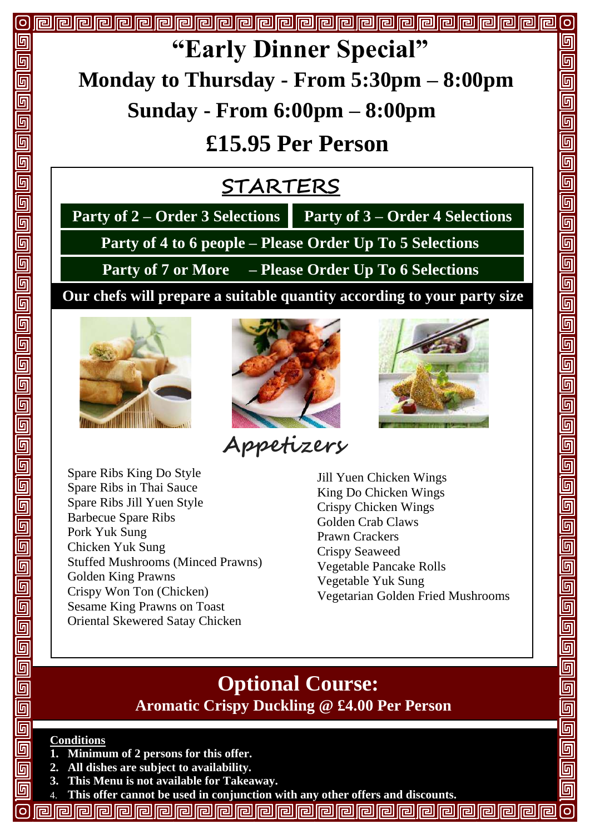

 **Our chefs will prepare a suitable quantity according to your party size Party of 4 to 6 people – Please Order Up To 5 Selections Party of 7 or More – Please Order Up To 6 Selections** 

**"Early Dinner Special"**

**£15.95 Per Person**

 **STARTERS**





**Appetizers**

Jill Yuen Chicken Wings King Do Chicken Wings Crispy Chicken Wings Golden Crab Claws Prawn Crackers Crispy Seaweed Vegetable Pancake Rolls Vegetable Yuk Sung Vegetarian Golden Fried Mushrooms

## **Optional Course: Aromatic Crispy Duckling @ £4.00 Per Person**

#### **Conditions**

**G**  $\overline{\overline{\mathbb{G}}}$ 

<u>ក</u>

回

- **1. Minimum of 2 persons for this offer.**
- **2. All dishes are subject to availability.**
- **3. This Menu is not available for Takeaway.**
- 4. **This offer cannot be used in conjunction with any other offers and discounts.**
- **PPPPPPPPPPPPPPPPPPP**